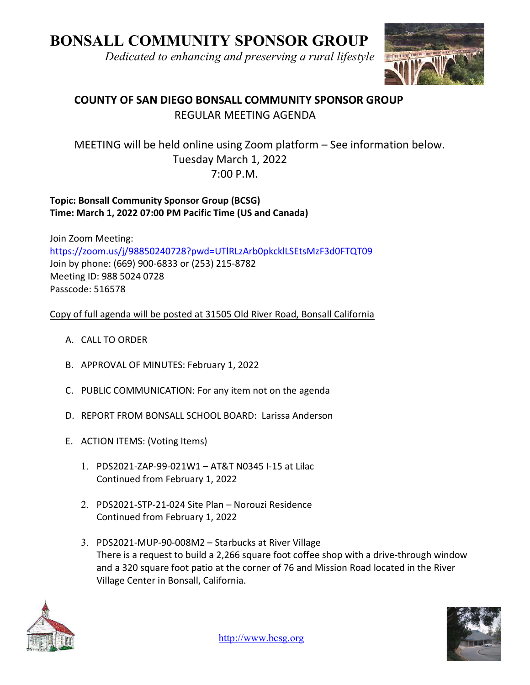# BONSALL COMMUNITY SPONSOR GROUP

Dedicated to enhancing and preserving a rural lifestyle



## COUNTY OF SAN DIEGO BONSALL COMMUNITY SPONSOR GROUP REGULAR MEETING AGENDA

## MEETING will be held online using Zoom platform – See information below. Tuesday March 1, 2022 7:00 P.M.

## Topic: Bonsall Community Sponsor Group (BCSG) Time: March 1, 2022 07:00 PM Pacific Time (US and Canada)

Join Zoom Meeting: https://zoom.us/j/98850240728?pwd=UTlRLzArb0pkcklLSEtsMzF3d0FTQT09 Join by phone: (669) 900-6833 or (253) 215-8782 Meeting ID: 988 5024 0728 Passcode: 516578

## Copy of full agenda will be posted at 31505 Old River Road, Bonsall California

- A. CALL TO ORDER
- B. APPROVAL OF MINUTES: February 1, 2022
- C. PUBLIC COMMUNICATION: For any item not on the agenda
- D. REPORT FROM BONSALL SCHOOL BOARD: Larissa Anderson
- E. ACTION ITEMS: (Voting Items)
	- 1. PDS2021-ZAP-99-021W1 AT&T N0345 I-15 at Lilac Continued from February 1, 2022
	- 2. PDS2021-STP-21-024 Site Plan Norouzi Residence Continued from February 1, 2022
	- 3. PDS2021-MUP-90-008M2 Starbucks at River Village There is a request to build a 2,266 square foot coffee shop with a drive-through window and a 320 square foot patio at the corner of 76 and Mission Road located in the River Village Center in Bonsall, California.